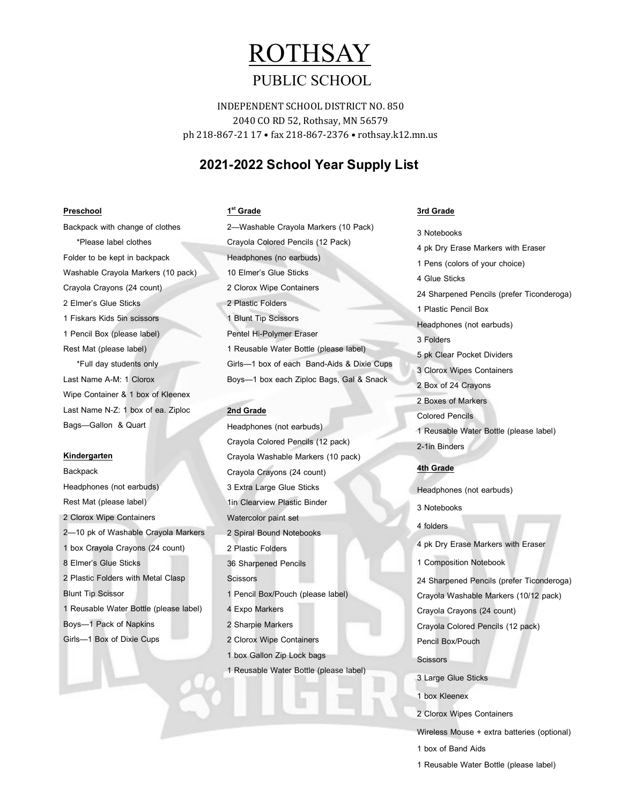# ROTHSAY

## PUBLIC SCHOOL

INDEPENDENT SCHOOL DISTRICT NO. 850 2040 CO RD 52, Rothsay, MN 56579 ph 218-867-21 17 • fax 218-867-2376 • rothsay.k12.mn.us

### **2021-2022 School Year Supply List**

#### **Preschool**

Backpack with change of clothes \*Please label clothes Folder to be kept in backpack Washable Crayola Markers (10 pack) Crayola Crayons (24 count) 2 Elmer's Glue Sticks 1 Fiskars Kids 5in scissors 1 Pencil Box (please label) Rest Mat (please label) \*Full day students only Last Name A-M: 1 Clorox Wipe Container & 1 box of Kleenex Last Name N-Z: 1 box of ea. Ziploc Bags—Gallon & Quart

#### **Kindergarten**

**Backpack** Headphones (not earbuds) Rest Mat (please label) 2 Clorox Wipe Containers 2—10 pk of Washable Crayola Markers 1 box Crayola Crayons (24 count) 8 Elmer's Glue Sticks 2 Plastic Folders with Metal Clasp Blunt Tip Scissor 1 Reusable Water Bottle (please label) Boys—1 Pack of Napkins Girls—1 Box of Dixie Cups

## **1 st Grade** 2—Washable Crayola Markers (10 Pack) Crayola Colored Pencils (12 Pack) Headphones (no earbuds) 10 Elmer's Glue Sticks 2 Clorox Wipe Containers 2 Plastic Folders 1 Blunt Tip Scissors Pentel Hi-Polymer Eraser 1 Reusable Water Bottle (please label) Girls—1 box of each Band-Aids & Dixie Cups Boys—1 box each Ziploc Bags, Gal & Snack

#### **2nd Grade**

Headphones (not earbuds) Crayola Colored Pencils (12 pack) Crayola Washable Markers (10 pack) Crayola Crayons (24 count) 3 Extra Large Glue Sticks 1in Clearview Plastic Binder Watercolor paint set 2 Spiral Bound Notebooks 2 Plastic Folders 36 Sharpened Pencils **Scissors** 1 Pencil Box/Pouch (please label) 4 Expo Markers 2 Sharpie Markers 2 Clorox Wipe Containers 1 box Gallon Zip Lock bags 1 Reusable Water Bottle (please label)

#### **3rd Grade**

3 Notebooks 4 pk Dry Erase Markers with Eraser 1 Pens (colors of your choice) 4 Glue Sticks 24 Sharpened Pencils (prefer Ticonderoga) 1 Plastic Pencil Box Headphones (not earbuds) 3 Folders 5 pk Clear Pocket Dividers 3 Clorox Wipes Containers 2 Box of 24 Crayons 2 Boxes of Markers Colored Pencils 1 Reusable Water Bottle (please label) 2-1in Binders

### **4th Grade**

Headphones (not earbuds)

- 3 Notebooks
- 4 folders

4 pk Dry Erase Markers with Eraser

1 Composition Notebook

24 Sharpened Pencils (prefer Ticonderoga) Crayola Washable Markers (10/12 pack)

Crayola Crayons (24 count)

Crayola Colored Pencils (12 pack)

Pencil Box/Pouch

Scissors

3 Large Glue Sticks

- 1 box Kleenex
- 2 Clorox Wipes Containers

Wireless Mouse + extra batteries (optional)

- 1 box of Band Aids
- 1 Reusable Water Bottle (please label)